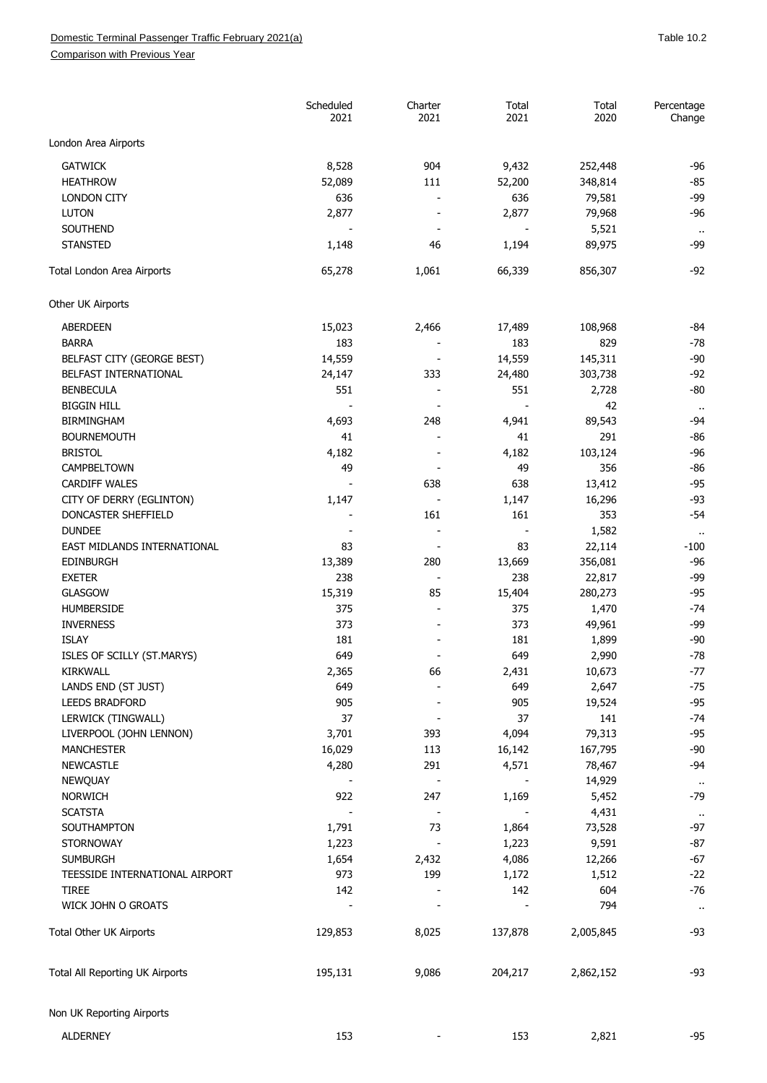Comparison with Previous Year

|                                    | Scheduled<br>2021 | Charter<br>2021          | Total<br>2021 | Total<br>2020 | Percentage<br>Change           |
|------------------------------------|-------------------|--------------------------|---------------|---------------|--------------------------------|
| London Area Airports               |                   |                          |               |               |                                |
| <b>GATWICK</b>                     | 8,528             | 904                      | 9,432         | 252,448       | $-96$                          |
| <b>HEATHROW</b>                    | 52,089            | 111                      | 52,200        | 348,814       | $-85$                          |
| <b>LONDON CITY</b>                 | 636               |                          | 636           | 79,581        | $-99$                          |
| <b>LUTON</b>                       | 2,877             |                          | 2,877         | 79,968        | $-96$                          |
| <b>SOUTHEND</b>                    |                   | $\overline{\phantom{0}}$ |               | 5,521         | $\sim$                         |
| <b>STANSTED</b>                    | 1,148             | 46                       | 1,194         | 89,975        | $-99$                          |
| Total London Area Airports         | 65,278            | 1,061                    | 66,339        | 856,307       | $-92$                          |
| Other UK Airports                  |                   |                          |               |               |                                |
| ABERDEEN                           | 15,023            | 2,466                    | 17,489        | 108,968       | $-84$                          |
| <b>BARRA</b>                       | 183               |                          | 183           | 829           | $-78$                          |
| BELFAST CITY (GEORGE BEST)         | 14,559            |                          | 14,559        | 145,311       | $-90$                          |
| BELFAST INTERNATIONAL              | 24,147            | 333                      | 24,480        | 303,738       | $-92$                          |
| <b>BENBECULA</b>                   | 551               |                          | 551           | 2,728         | $-80$                          |
| <b>BIGGIN HILL</b>                 |                   |                          |               | 42            | $\ddot{\phantom{a}}$           |
| <b>BIRMINGHAM</b>                  | 4,693             | 248                      | 4,941         | 89,543        | -94                            |
| <b>BOURNEMOUTH</b>                 | 41                |                          | 41            | 291           | $-86$                          |
| <b>BRISTOL</b>                     | 4,182             |                          | 4,182         | 103,124       | $-96$                          |
| CAMPBELTOWN                        | 49                |                          | 49            | 356           | $-86$                          |
| <b>CARDIFF WALES</b>               |                   | 638                      | 638           | 13,412        | $-95$                          |
| CITY OF DERRY (EGLINTON)           | 1,147             |                          | 1,147         | 16,296        | $-93$                          |
| DONCASTER SHEFFIELD                |                   | 161                      | 161           | 353           | $-54$                          |
| <b>DUNDEE</b>                      |                   | $\overline{a}$           |               | 1,582         |                                |
| EAST MIDLANDS INTERNATIONAL        | 83                |                          | 83            | 22,114        | $\ddot{\phantom{a}}$<br>$-100$ |
| <b>EDINBURGH</b>                   | 13,389            | 280                      | 13,669        | 356,081       | $-96$                          |
| <b>EXETER</b>                      | 238               |                          | 238           | 22,817        | $-99$                          |
| <b>GLASGOW</b>                     | 15,319            | 85                       | 15,404        | 280,273       | $-95$                          |
| <b>HUMBERSIDE</b>                  | 375               |                          | 375           | 1,470         | $-74$                          |
| <b>INVERNESS</b>                   | 373               | $\overline{\phantom{a}}$ | 373           | 49,961        | $-99$                          |
| <b>ISLAY</b>                       | 181               |                          | 181           | 1,899         | $-90$                          |
| ISLES OF SCILLY (ST.MARYS)         | 649               |                          | 649           | 2,990         | $-78$                          |
| <b>KIRKWALL</b>                    |                   |                          |               | 10,673        | $-77$                          |
| LANDS END (ST JUST)                | 2,365<br>649      | 66                       | 2,431<br>649  | 2,647         | $-75$                          |
| <b>LEEDS BRADFORD</b>              | 905               |                          | 905           | 19,524        | $-95$                          |
| LERWICK (TINGWALL)                 | 37                |                          | 37            | 141           | $-74$                          |
| LIVERPOOL (JOHN LENNON)            | 3,701             | 393                      | 4,094         | 79,313        | $-95$                          |
|                                    |                   |                          |               |               | $-90$                          |
| <b>MANCHESTER</b>                  | 16,029            | 113                      | 16,142        | 167,795       | $-94$                          |
| <b>NEWCASTLE</b>                   | 4,280             | 291                      | 4,571         | 78,467        |                                |
| NEWQUAY                            |                   |                          |               | 14,929        | $\alpha$                       |
| <b>NORWICH</b>                     | 922               | 247                      | 1,169         | 5,452         | $-79$                          |
| <b>SCATSTA</b>                     |                   | $\overline{\phantom{a}}$ |               | 4,431         | $\cdot$ .                      |
| SOUTHAMPTON                        | 1,791             | 73                       | 1,864         | 73,528        | $-97$                          |
| <b>STORNOWAY</b>                   | 1,223             | $\overline{\phantom{a}}$ | 1,223         | 9,591         | $-87$                          |
| <b>SUMBURGH</b>                    | 1,654             | 2,432                    | 4,086         | 12,266        | $-67$                          |
| TEESSIDE INTERNATIONAL AIRPORT     | 973               | 199                      | 1,172         | 1,512         | $-22$                          |
| <b>TIREE</b><br>WICK JOHN O GROATS | 142               |                          | 142           | 604<br>794    | $-76$                          |
|                                    |                   |                          |               |               | $\cdot$<br>$-93$               |
| Total Other UK Airports            | 129,853           | 8,025                    | 137,878       | 2,005,845     |                                |
| Total All Reporting UK Airports    | 195,131           | 9,086                    | 204,217       | 2,862,152     | $-93$                          |
| Non UK Reporting Airports          |                   |                          |               |               |                                |
| <b>ALDERNEY</b>                    | 153               |                          | 153           | 2,821         | $-95$                          |